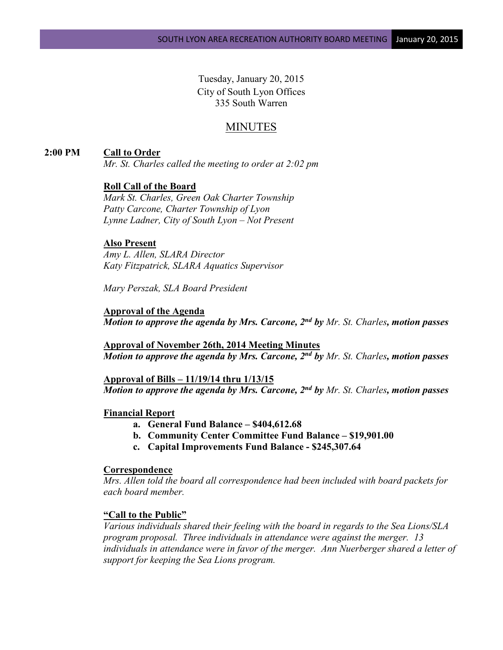Tuesday, January 20, 2015 City of South Lyon Offices 335 South Warren

# MINUTES

## **2:00 PM Call to Order**

*Mr. St. Charles called the meeting to order at 2:02 pm*

# **Roll Call of the Board**

*Mark St. Charles, Green Oak Charter Township Patty Carcone, Charter Township of Lyon Lynne Ladner, City of South Lyon – Not Present*

#### **Also Present**

*Amy L. Allen, SLARA Director Katy Fitzpatrick, SLARA Aquatics Supervisor*

*Mary Perszak, SLA Board President*

**Approval of the Agenda** *Motion to approve the agenda by Mrs. Carcone, 2nd by Mr. St. Charles, motion passes*

**Approval of November 26th, 2014 Meeting Minutes** *Motion to approve the agenda by Mrs. Carcone, 2nd by Mr. St. Charles, motion passes*

**Approval of Bills – 11/19/14 thru 1/13/15** *Motion to approve the agenda by Mrs. Carcone, 2nd by Mr. St. Charles, motion passes*

#### **Financial Report**

- **a. General Fund Balance – \$404,612.68**
- **b. Community Center Committee Fund Balance – \$19,901.00**
- **c. Capital Improvements Fund Balance - \$245,307.64**

## **Correspondence**

*Mrs. Allen told the board all correspondence had been included with board packets for each board member.*

#### **"Call to the Public"**

*Various individuals shared their feeling with the board in regards to the Sea Lions/SLA program proposal. Three individuals in attendance were against the merger. 13 individuals in attendance were in favor of the merger. Ann Nuerberger shared a letter of support for keeping the Sea Lions program.*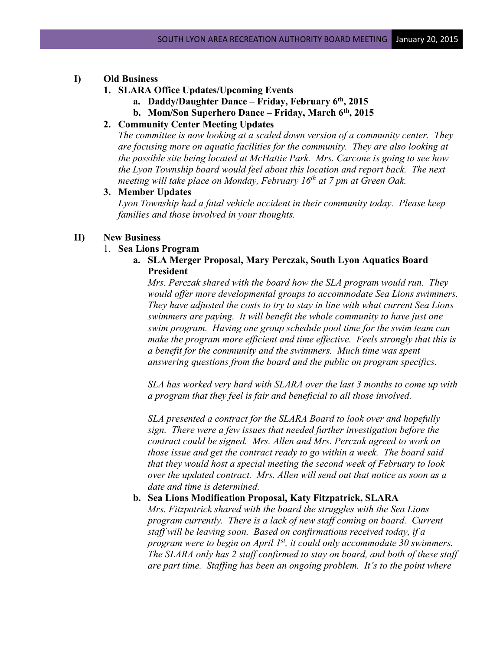## **I) Old Business**

- **1. SLARA Office Updates/Upcoming Events**
	- **a. Daddy/Daughter Dance – Friday, February 6th, 2015**
	- **b. Mom/Son Superhero Dance – Friday, March 6th, 2015**
- **2. Community Center Meeting Updates**

*The committee is now looking at a scaled down version of a community center. They are focusing more on aquatic facilities for the community. They are also looking at the possible site being located at McHattie Park. Mrs. Carcone is going to see how the Lyon Township board would feel about this location and report back. The next meeting will take place on Monday, February 16th at 7 pm at Green Oak.* 

# **3. Member Updates**

*Lyon Township had a fatal vehicle accident in their community today. Please keep families and those involved in your thoughts.*

#### **II) New Business**

### 1. **Sea Lions Program**

**a. SLA Merger Proposal, Mary Perczak, South Lyon Aquatics Board President**

*Mrs. Perczak shared with the board how the SLA program would run. They would offer more developmental groups to accommodate Sea Lions swimmers. They have adjusted the costs to try to stay in line with what current Sea Lions swimmers are paying. It will benefit the whole community to have just one swim program. Having one group schedule pool time for the swim team can make the program more efficient and time effective. Feels strongly that this is a benefit for the community and the swimmers. Much time was spent answering questions from the board and the public on program specifics.*

*SLA has worked very hard with SLARA over the last 3 months to come up with a program that they feel is fair and beneficial to all those involved.* 

*SLA presented a contract for the SLARA Board to look over and hopefully sign. There were a few issues that needed further investigation before the contract could be signed. Mrs. Allen and Mrs. Perczak agreed to work on those issue and get the contract ready to go within a week. The board said that they would host a special meeting the second week of February to look over the updated contract. Mrs. Allen will send out that notice as soon as a date and time is determined.*

# **b. Sea Lions Modification Proposal, Katy Fitzpatrick, SLARA**

*Mrs. Fitzpatrick shared with the board the struggles with the Sea Lions program currently. There is a lack of new staff coming on board. Current staff will be leaving soon. Based on confirmations received today, if a program were to begin on April 1st, it could only accommodate 30 swimmers. The SLARA only has 2 staff confirmed to stay on board, and both of these staff are part time. Staffing has been an ongoing problem. It's to the point where*